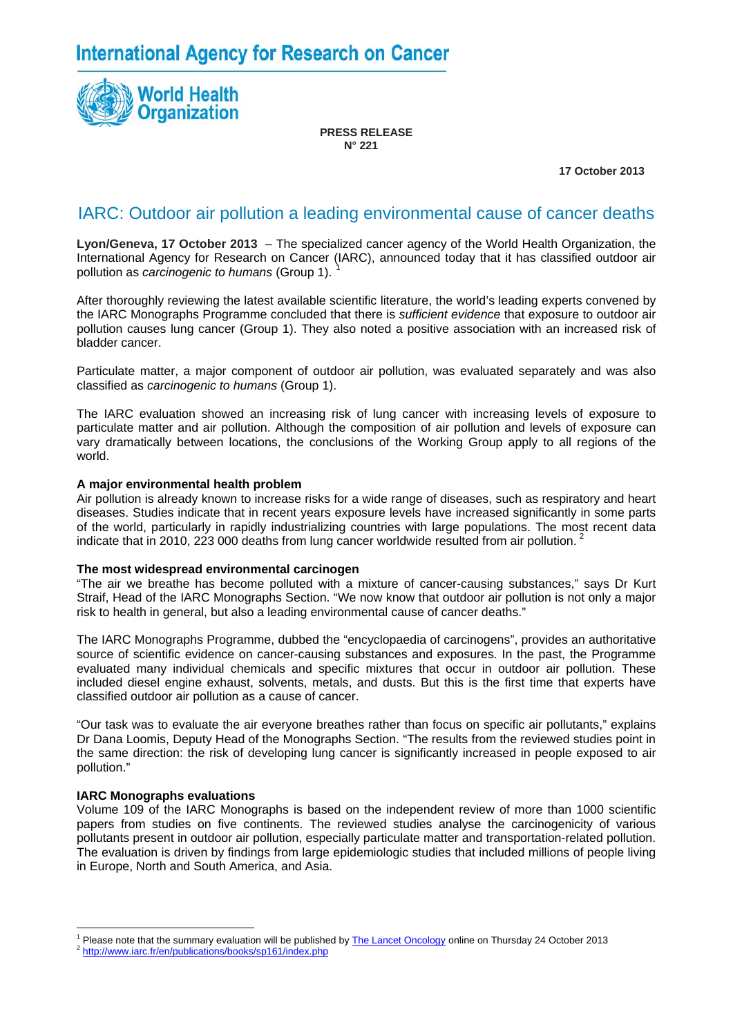**International Agency for Research on Cancer** 



**PRESS RELEASE N° 221** 

 **17 October 2013**

## IARC: Outdoor air pollution a leading environmental cause of cancer deaths

**Lyon/Geneva, 17 October 2013** – The specialized cancer agency of the World Health Organization, the International Agency for Research on Cancer (IARC), announced today that it has classified outdoor air pollution as *carcinogenic to humans* (Group [1](#page-0-0)).

After thoroughly reviewing the latest available scientific literature, the world's leading experts convened by the IARC Monographs Programme concluded that there is *sufficient evidence* that exposure to outdoor air pollution causes lung cancer (Group 1). They also noted a positive association with an increased risk of bladder cancer.

Particulate matter, a major component of outdoor air pollution, was evaluated separately and was also classified as *carcinogenic to humans* (Group 1).

The IARC evaluation showed an increasing risk of lung cancer with increasing levels of exposure to particulate matter and air pollution. Although the composition of air pollution and levels of exposure can vary dramatically between locations, the conclusions of the Working Group apply to all regions of the world.

#### **A major environmental health problem**

Air pollution is already known to increase risks for a wide range of diseases, such as respiratory and heart diseases. Studies indicate that in recent years exposure levels have increased significantly in some parts of the world, particularly in rapidly industrializing countries with large populations. The most recent data indicate that in [2](#page-0-1)010, 223 000 deaths from lung cancer worldwide resulted from air pollution.

#### **The most widespread environmental carcinogen**

"The air we breathe has become polluted with a mixture of cancer-causing substances," says Dr Kurt Straif, Head of the IARC Monographs Section. "We now know that outdoor air pollution is not only a major risk to health in general, but also a leading environmental cause of cancer deaths."

The IARC Monographs Programme, dubbed the "encyclopaedia of carcinogens", provides an authoritative source of scientific evidence on cancer-causing substances and exposures. In the past, the Programme evaluated many individual chemicals and specific mixtures that occur in outdoor air pollution. These included diesel engine exhaust, solvents, metals, and dusts. But this is the first time that experts have classified outdoor air pollution as a cause of cancer.

"Our task was to evaluate the air everyone breathes rather than focus on specific air pollutants," explains Dr Dana Loomis, Deputy Head of the Monographs Section. "The results from the reviewed studies point in the same direction: the risk of developing lung cancer is significantly increased in people exposed to air pollution."

#### **IARC Monographs evaluations**

 $\overline{a}$ 

Volume 109 of the IARC Monographs is based on the independent review of more than 1000 scientific papers from studies on five continents. The reviewed studies analyse the carcinogenicity of various pollutants present in outdoor air pollution, especially particulate matter and transportation-related pollution. The evaluation is driven by findings from large epidemiologic studies that included millions of people living in Europe, North and South America, and Asia.

<span id="page-0-0"></span><sup>1</sup> <sup>1</sup> Please note that the summary evaluation will be published by  $\frac{The\text{ Lancer}$  Oncology online on Thursday 24 October 2013<br>
<sup>2</sup> <http://www.iarc.fr/en/publications/books/sp161/index.php>

<span id="page-0-1"></span>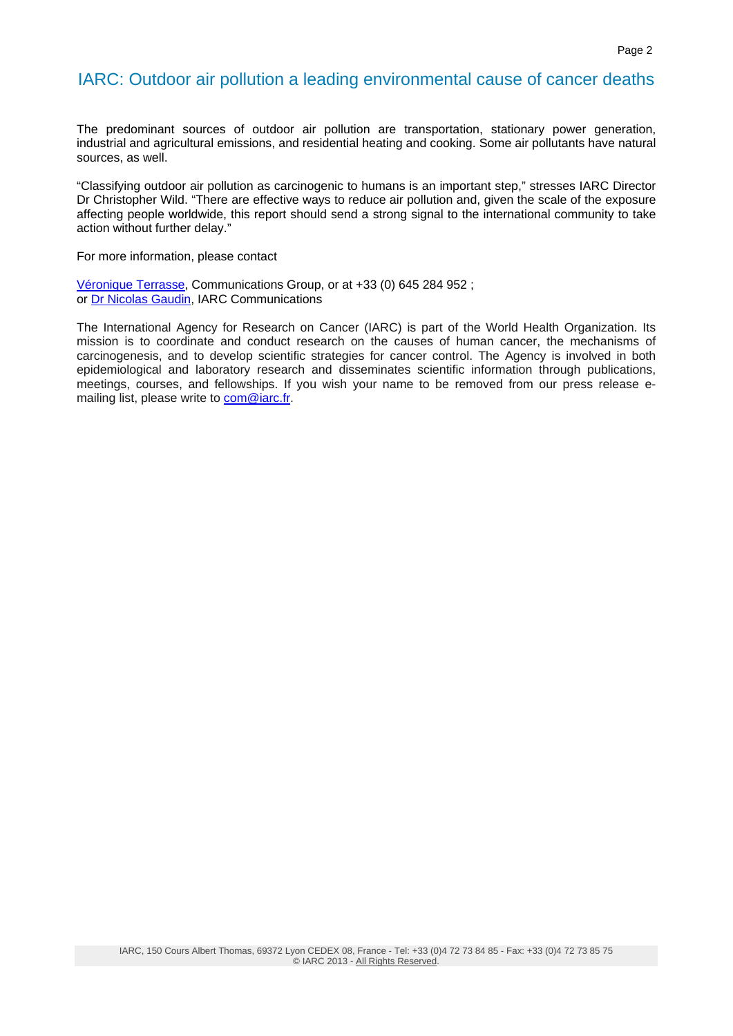## IARC: Outdoor air pollution a leading environmental cause of cancer deaths

The predominant sources of outdoor air pollution are transportation, stationary power generation, industrial and agricultural emissions, and residential heating and cooking. Some air pollutants have natural sources, as well.

"Classifying outdoor air pollution as carcinogenic to humans is an important step," stresses IARC Director Dr Christopher Wild. "There are effective ways to reduce air pollution and, given the scale of the exposure affecting people worldwide, this report should send a strong signal to the international community to take action without further delay."

For more information, please contact

[Véronique Terrasse](mailto:terrassev@iarc.fr), Communications Group, or at +33 (0) 645 284 952 ; or [Dr Nicolas Gaudin](mailto:com@iarc.fr), IARC Communications

The International Agency for Research on Cancer (IARC) is part of the World Health Organization. Its mission is to coordinate and conduct research on the causes of human cancer, the mechanisms of carcinogenesis, and to develop scientific strategies for cancer control. The Agency is involved in both epidemiological and laboratory research and disseminates scientific information through publications, meetings, courses, and fellowships. If you wish your name to be removed from our press release emailing list, please write to [com@iarc.fr.](mailto:com@iarc.fr)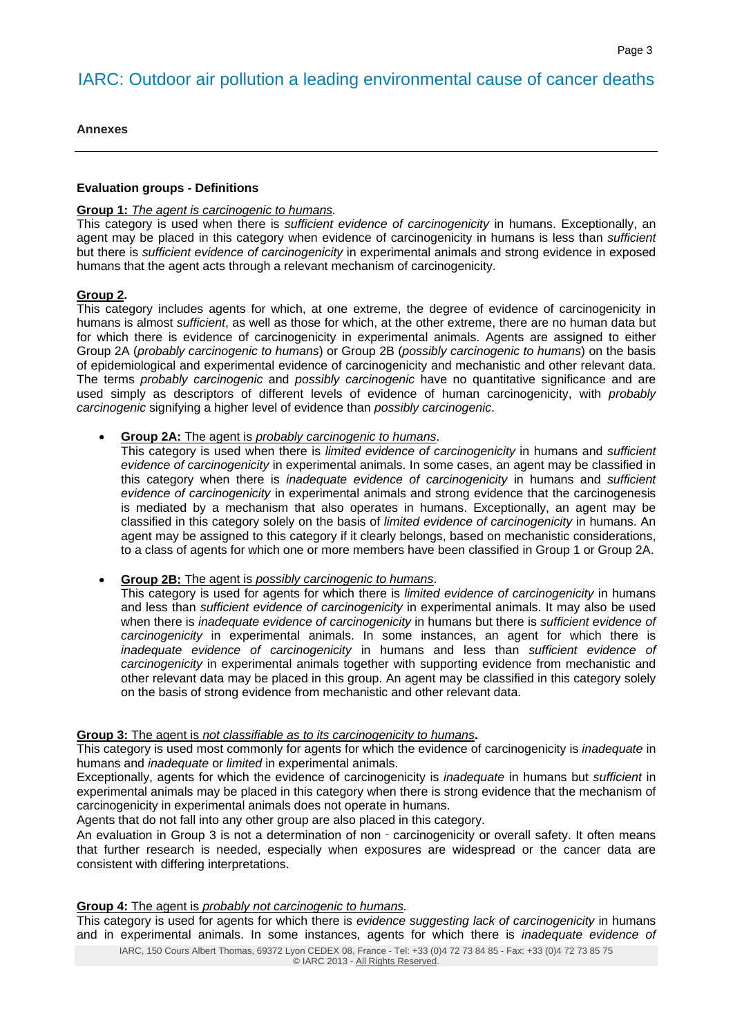# IARC: Outdoor air pollution a leading environmental cause of cancer deaths

**Annexes** 

#### **Evaluation groups - Definitions**

#### **Group 1:** *The agent is carcinogenic to humans.*

This category is used when there is *sufficient evidence of carcinogenicity* in humans. Exceptionally, an agent may be placed in this category when evidence of carcinogenicity in humans is less than *sufficient*  but there is *sufficient evidence of carcinogenicity* in experimental animals and strong evidence in exposed humans that the agent acts through a relevant mechanism of carcinogenicity.

## **Group 2.**

This category includes agents for which, at one extreme, the degree of evidence of carcinogenicity in humans is almost *sufficient*, as well as those for which, at the other extreme, there are no human data but for which there is evidence of carcinogenicity in experimental animals. Agents are assigned to either Group 2A (*probably carcinogenic to humans*) or Group 2B (*possibly carcinogenic to humans*) on the basis of epidemiological and experimental evidence of carcinogenicity and mechanistic and other relevant data. The terms *probably carcinogenic* and *possibly carcinogenic* have no quantitative significance and are used simply as descriptors of different levels of evidence of human carcinogenicity, with *probably carcinogenic* signifying a higher level of evidence than *possibly carcinogenic*.

**Group 2A:** The agent is *probably carcinogenic to humans*.

This category is used when there is *limited evidence of carcinogenicity* in humans and *sufficient evidence of carcinogenicity* in experimental animals. In some cases, an agent may be classified in this category when there is *inadequate evidence of carcinogenicity* in humans and *sufficient evidence of carcinogenicity* in experimental animals and strong evidence that the carcinogenesis is mediated by a mechanism that also operates in humans. Exceptionally, an agent may be classified in this category solely on the basis of *limited evidence of carcinogenicity* in humans. An agent may be assigned to this category if it clearly belongs, based on mechanistic considerations, to a class of agents for which one or more members have been classified in Group 1 or Group 2A.

**Group 2B:** The agent is *possibly carcinogenic to humans*.

This category is used for agents for which there is *limited evidence of carcinogenicity* in humans and less than *sufficient evidence of carcinogenicity* in experimental animals. It may also be used when there is *inadequate evidence of carcinogenicity* in humans but there is *sufficient evidence of carcinogenicity* in experimental animals. In some instances, an agent for which there is *inadequate evidence of carcinogenicity* in humans and less than *sufficient evidence of carcinogenicity* in experimental animals together with supporting evidence from mechanistic and other relevant data may be placed in this group. An agent may be classified in this category solely on the basis of strong evidence from mechanistic and other relevant data.

### **Group 3:** The agent is *not classifiable as to its carcinogenicity to humans***.**

This category is used most commonly for agents for which the evidence of carcinogenicity is *inadequate* in humans and *inadequate* or *limited* in experimental animals.

Exceptionally, agents for which the evidence of carcinogenicity is *inadequate* in humans but *sufficient* in experimental animals may be placed in this category when there is strong evidence that the mechanism of carcinogenicity in experimental animals does not operate in humans.

Agents that do not fall into any other group are also placed in this category.

An evaluation in Group 3 is not a determination of non - carcinogenicity or overall safety. It often means that further research is needed, especially when exposures are widespread or the cancer data are consistent with differing interpretations.

#### **Group 4:** The agent is *probably not carcinogenic to humans.*

This category is used for agents for which there is *evidence suggesting lack of carcinogenicity* in humans and in experimental animals. In some instances, agents for which there is *inadequate evidence of*